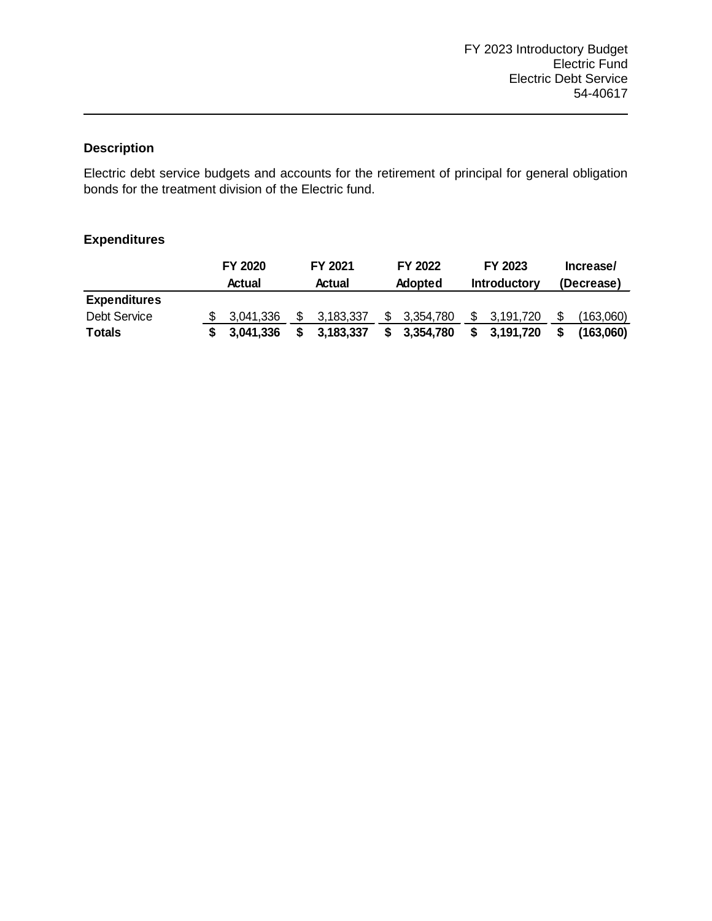The purpose of the Capital Improvement Program is to ensure the orderly expansion or modification to the electric system for improved customer reliability, to allow future growth, and improve operational efficiency. This is accomplished by construction and/ or modifications to the distribution system, transmission system, and substations and implementation of computer applications.

|                            |    | FY 2020<br>Actual | FY 2021<br>Actual |           | FY 2022<br>Adopted |           | FY 2023<br><b>Introductory</b> |           | Increase/<br>(Decrease) |               |
|----------------------------|----|-------------------|-------------------|-----------|--------------------|-----------|--------------------------------|-----------|-------------------------|---------------|
| <b>Expenditures</b>        |    |                   |                   |           |                    |           |                                |           |                         |               |
| <b>Personnel Services</b>  | \$ | 797,960           | \$                | 684,493   | \$                 | 1,105,360 | \$                             | 1,168,450 | \$                      | 63,090        |
| <b>Employee Benefits</b>   |    | 93,329            |                   | 87,527    |                    | 151,920   |                                | 150,070   |                         | (1,850)       |
| <b>Purchased Services</b>  |    | 7,058,083         |                   | 3,206,799 |                    | 790,000   |                                | 40,000    |                         | (750,000)     |
| <b>Internal Service</b>    |    | 132,008           |                   | 106,860   |                    | ٠         |                                |           |                         |               |
| <b>Other Operating Exp</b> |    | 5,549,361         |                   | 4,769,476 |                    | 1,347,920 |                                | 1,562,030 |                         | 214,110       |
| Capital Outlay             |    | 124,668           |                   | 176,682   |                    | 4,000     |                                |           |                         | (4,000)       |
| <b>Capital Projects</b>    |    |                   |                   |           |                    | 551,240   |                                |           |                         | (551, 240)    |
| <b>Debt Service</b>        |    | 146,086           |                   | 145,286   |                    | 238,870   |                                | 250,540   |                         | 11,670        |
| <b>Totals</b>              | S  | 13,901,495        |                   | 9,177,123 | S                  | 4,189,310 | S                              | 3,171,090 |                         | \$(1,018,220) |

# **Expenditures**

# **Personnel**

While there are no employees exclusively or specifically assigned to capital projects, hourly power and light employees are accounted for within capital projects through our work order system. Fulltime Equivalents as budgeted are listed below.

|                               | FY 2020     | FY 2021     | FY 2022     | FY 2023     |
|-------------------------------|-------------|-------------|-------------|-------------|
| <b>Position Title</b>         | <b>FTEs</b> | <b>FTEs</b> | <b>FTEs</b> | <b>FTEs</b> |
| <b>ELECTRIC GROUNDWORKER</b>  | 0.570       | 0.570       |             | 1.140       |
| ELECT LINE OH/UG EQUIP OPER   | 1.140       | 1.140       | 1.140       | 1.140       |
| ELECTRIC LINE TECHNICIAN I    | 0.570       | 2.850       | 3.420       | 1.710       |
| ELECTRIC LINE TECHNICIAN II   | 5.700       | 3.990       | 1.710       | 2.850       |
| ELECTRIC LINE TECHNICIAN III  | 5.130       | 5.130       | 7.410       | 6.840       |
| ELECTRIC LINE CREW SUPERVISOR | 2.850       | 2.850       | 2.850       | 2.850       |
| ELECTRIC VEGETATION ROW SUPER | 0.570       | 0.570       |             |             |
| ELECTRIC RIGHT OF WAY TRIMMER | 1.710       | 1.710       | 1.710       | 1.710       |
| <b>Total</b>                  | 18.240      | 18.810      | 18.240      | 18.240      |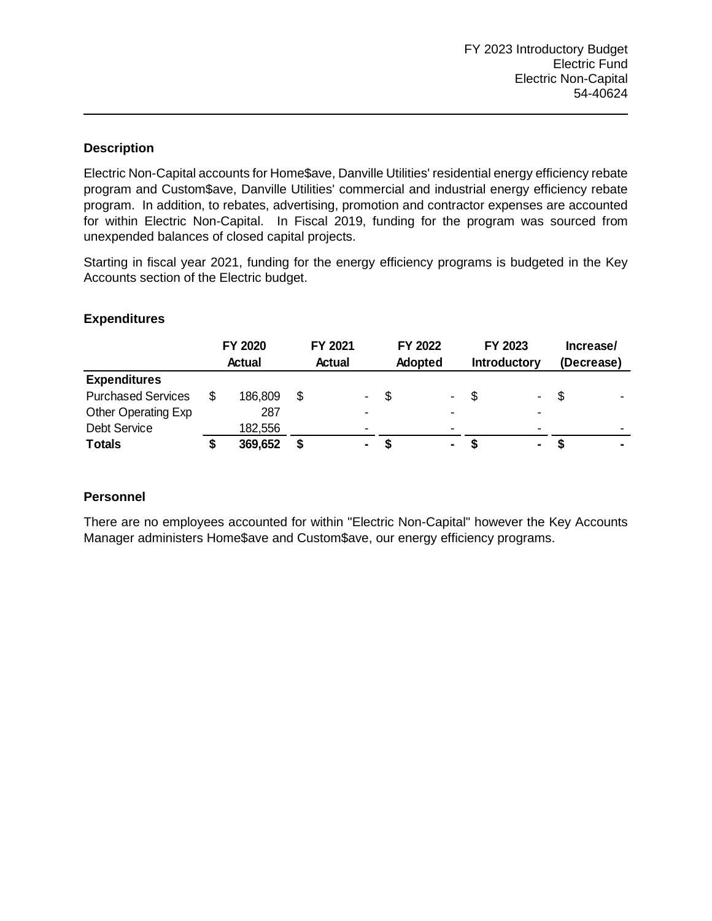Electric debt service budgets and accounts for the retirement of principal for general obligation bonds for the treatment division of the Electric fund.

# **Expenditures**

|                     | FY 2020<br><b>Actual</b> | FY 2021<br>FY 2022<br>Actual<br><b>Adopted</b> |           | FY 2023<br><b>Introductory</b> |   | Increase/<br>(Decrease) |  |           |
|---------------------|--------------------------|------------------------------------------------|-----------|--------------------------------|---|-------------------------|--|-----------|
| <b>Expenditures</b> |                          |                                                |           |                                |   |                         |  |           |
| Debt Service        | 3,041,336                |                                                | 3,183,337 | 3.354.780                      |   | 3,191,720               |  | (163,060) |
| <b>Totals</b>       | \$3,041,336              |                                                | 3,183,337 | 3,354,780                      | S | 3,191,720               |  | (163,060) |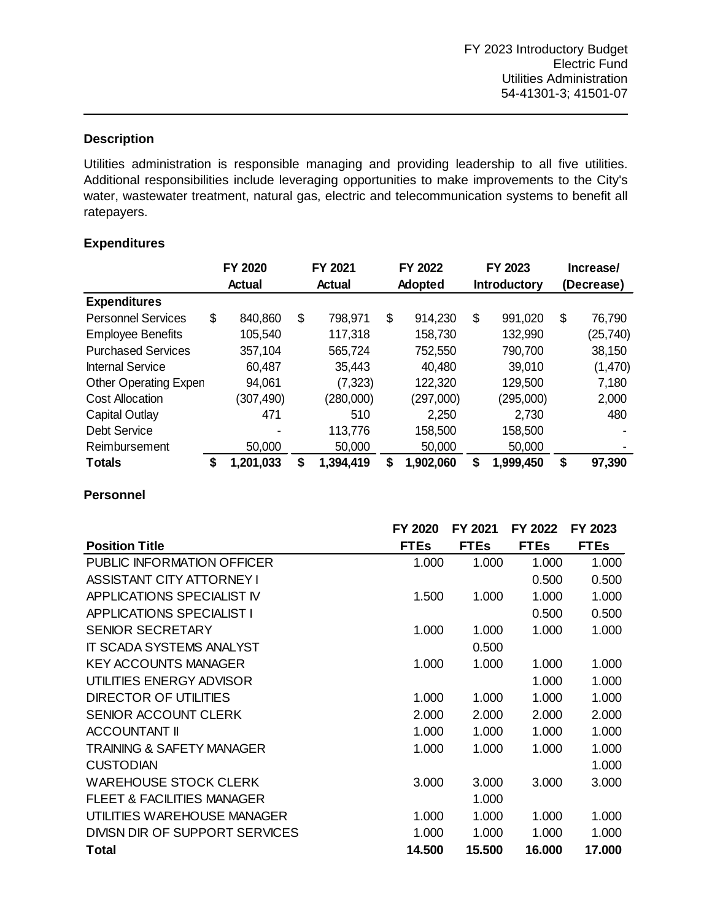Electric Non-Capital accounts for Home\$ave, Danville Utilities' residential energy efficiency rebate program and Custom\$ave, Danville Utilities' commercial and industrial energy efficiency rebate program. In addition, to rebates, advertising, promotion and contractor expenses are accounted for within Electric Non-Capital. In Fiscal 2019, funding for the program was sourced from unexpended balances of closed capital projects.

Starting in fiscal year 2021, funding for the energy efficiency programs is budgeted in the Key Accounts section of the Electric budget.

|                           | FY 2020       | FY 2021 |                 | FY 2022        |                          | FY 2023             |                | Increase/  |                          |
|---------------------------|---------------|---------|-----------------|----------------|--------------------------|---------------------|----------------|------------|--------------------------|
|                           | <b>Actual</b> | Actual  |                 | <b>Adopted</b> |                          | <b>Introductory</b> |                | (Decrease) |                          |
| <b>Expenditures</b>       |               |         |                 |                |                          |                     |                |            |                          |
| <b>Purchased Services</b> | 186,809       |         | $\sim$ 10 $\pm$ | -\$            | $\blacksquare$           | -S                  | $\blacksquare$ |            |                          |
| Other Operating Exp       | 287           |         | $\blacksquare$  |                | $\overline{\phantom{a}}$ |                     | $\blacksquare$ |            |                          |
| Debt Service              | 182,556       |         | $\blacksquare$  |                | $\blacksquare$           |                     | $\,$           |            | $\overline{\phantom{0}}$ |
| <b>Totals</b>             | 369,652       |         | $\blacksquare$  | S              | ۰                        |                     | ۰.             |            | $\blacksquare$           |

# **Expenditures**

# **Personnel**

There are no employees accounted for within "Electric Non-Capital" however the Key Accounts Manager administers Home\$ave and Custom\$ave, our energy efficiency programs.